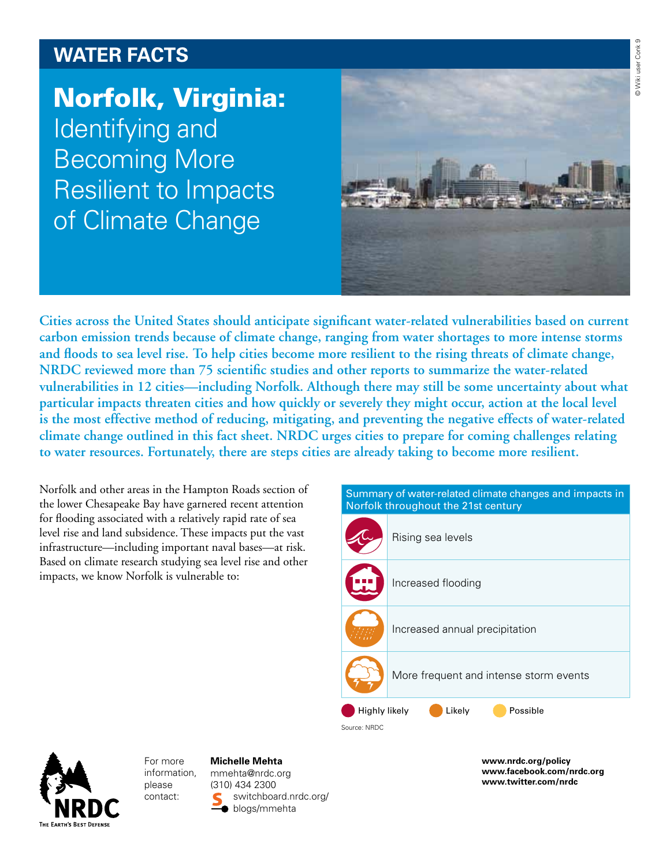# **Water facts**

Norfolk, Virginia: Identifying and Becoming More Resilient to Impacts of Climate Change



**Cities across the United States should anticipate significant water-related vulnerabilities based on current carbon emission trends because of climate change, ranging from water shortages to more intense storms and floods to sea level rise. To help cities become more resilient to the rising threats of climate change, NRDC reviewed more than 75 scientific studies and other reports to summarize the water-related vulnerabilities in 12 cities—including Norfolk. Although there may still be some uncertainty about what particular impacts threaten cities and how quickly or severely they might occur, action at the local level is the most effective method of reducing, mitigating, and preventing the negative effects of water-related climate change outlined in this fact sheet. NRDC urges cities to prepare for coming challenges relating to water resources. Fortunately, there are steps cities are already taking to become more resilient.**

Norfolk and other areas in the Hampton Roads section of the lower Chesapeake Bay have garnered recent attention for flooding associated with a relatively rapid rate of sea level rise and land subsidence. These impacts put the vast infrastructure—including important naval bases—at risk. Based on climate research studying sea level rise and other impacts, we know Norfolk is vulnerable to:





For more information, please contact:

#### **Michelle Mehta**

mmehta@nrdc.org (310) 434 2300 switchboard.nrdc.org/ **blogs/mmehta** 

**www.nrdc.org/policy www.facebook.com/nrdc.org www.twitter.com/nrdc**